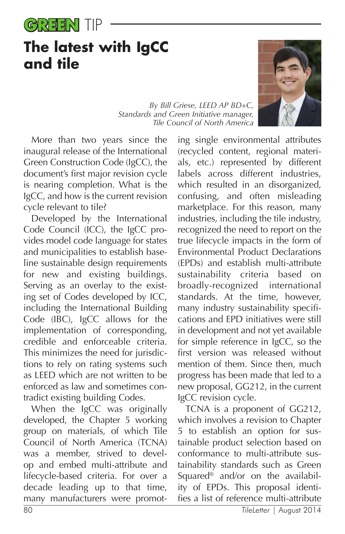

## **The latest with IgCC and tile**

*By Bill Griese, LEED AP BD+C, Standards and Green Initiative manager, Tile Council of North America*

More than two years since the inaugural release of the International Green Construction Code (IgCC), the document's first major revision cycle is nearing completion. What is the IgCC, and how is the current revision cycle relevant to tile?

Developed by the International Code Council (ICC), the IgCC provides model code language for states and municipalities to establish baseline sustainable design requirements for new and existing buildings. Serving as an overlay to the existing set of Codes developed by ICC, including the International Building Code (IBC), IgCC allows for the implementation of corresponding, credible and enforceable criteria. This minimizes the need for jurisdictions to rely on rating systems such as LEED which are not written to be enforced as law and sometimes contradict existing building Codes.

When the IgCC was originally developed, the Chapter 5 working group on materials, of which Tile Council of North America (TCNA) was a member, strived to develop and embed multi-attribute and lifecycle-based criteria. For over a decade leading up to that time, many manufacturers were promot-

ing single environmental attributes (recycled content, regional materials, etc.) represented by different labels across different industries, which resulted in an disorganized, confusing, and often misleading marketplace. For this reason, many industries, including the tile industry, recognized the need to report on the true lifecycle impacts in the form of Environmental Product Declarations (EPDs) and establish multi-attribute sustainability criteria based on broadly-recognized international standards. At the time, however, many industry sustainability specifications and EPD initiatives were still in development and not yet available for simple reference in IgCC, so the first version was released without mention of them. Since then, much progress has been made that led to a new proposal, GG212, in the current IgCC revision cycle.

TCNA is a proponent of GG212, which involves a revision to Chapter 5 to establish an option for sustainable product selection based on conformance to multi-attribute sustainability standards such as Green Squared® and/or on the availability of EPDs. This proposal identifies a list of reference multi-attribute